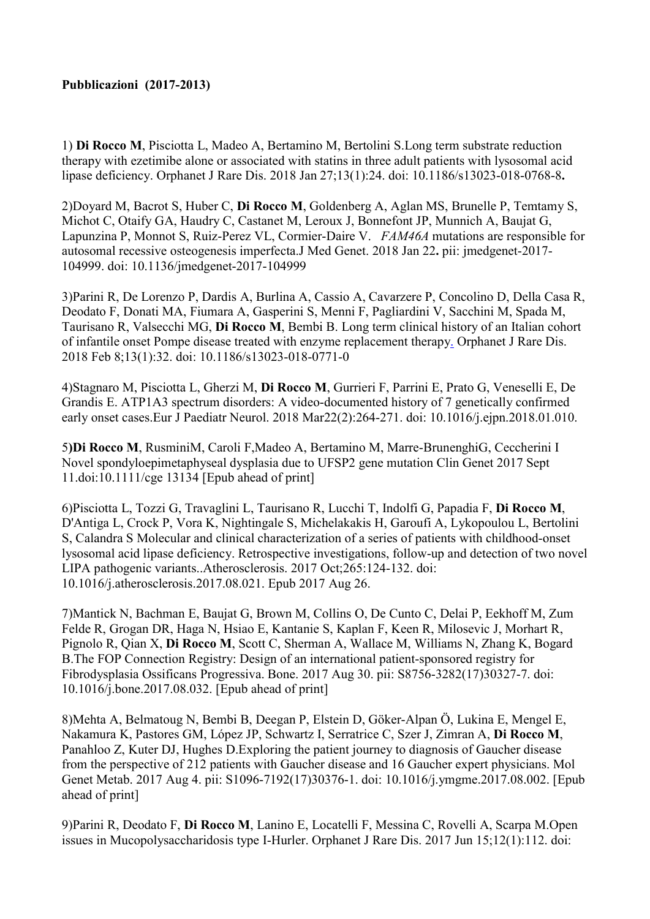1) Di Rocco M, Pisciotta L, Madeo A, Bertamino M, Bertolini S.Long term substrate reduction therapy with ezetimibe alone or associated with statins in three adult patients with lysosomal acid lipase deficiency. Orphanet J Rare Dis. 2018 Jan 27;13(1):24. doi: 10.1186/s13023-018-0768-8.

2)Doyard M, Bacrot S, Huber C, Di Rocco M, Goldenberg A, Aglan MS, Brunelle P, Temtamy S, Michot C, Otaify GA, Haudry C, Castanet M, Leroux J, Bonnefont JP, Munnich A, Baujat G, Lapunzina P, Monnot S, Ruiz-Perez VL, Cormier-Daire V. FAM46A mutations are responsible for autosomal recessive osteogenesis imperfecta.J Med Genet. 2018 Jan 22. pii: jmedgenet-2017- 104999. doi: 10.1136/jmedgenet-2017-104999

3)Parini R, De Lorenzo P, Dardis A, Burlina A, Cassio A, Cavarzere P, Concolino D, Della Casa R, Deodato F, Donati MA, Fiumara A, Gasperini S, Menni F, Pagliardini V, Sacchini M, Spada M, Taurisano R, Valsecchi MG, Di Rocco M, Bembi B. Long term clinical history of an Italian cohort of infantile onset Pompe disease treated with enzyme replacement therapy. Orphanet J Rare Dis. 2018 Feb 8;13(1):32. doi: 10.1186/s13023-018-0771-0

4)Stagnaro M, Pisciotta L, Gherzi M, Di Rocco M, Gurrieri F, Parrini E, Prato G, Veneselli E, De Grandis E. ATP1A3 spectrum disorders: A video-documented history of 7 genetically confirmed early onset cases.Eur J Paediatr Neurol. 2018 Mar22(2):264-271. doi: 10.1016/j.ejpn.2018.01.010.

5)Di Rocco M, RusminiM, Caroli F,Madeo A, Bertamino M, Marre-BrunenghiG, Ceccherini I Novel spondyloepimetaphyseal dysplasia due to UFSP2 gene mutation Clin Genet 2017 Sept 11.doi:10.1111/cge 13134 [Epub ahead of print]

6)Pisciotta L, Tozzi G, Travaglini L, Taurisano R, Lucchi T, Indolfi G, Papadia F, Di Rocco M, D'Antiga L, Crock P, Vora K, Nightingale S, Michelakakis H, Garoufi A, Lykopoulou L, Bertolini S, Calandra S Molecular and clinical characterization of a series of patients with childhood-onset lysosomal acid lipase deficiency. Retrospective investigations, follow-up and detection of two novel LIPA pathogenic variants..Atherosclerosis. 2017 Oct;265:124-132. doi: 10.1016/j.atherosclerosis.2017.08.021. Epub 2017 Aug 26.

7)Mantick N, Bachman E, Baujat G, Brown M, Collins O, De Cunto C, Delai P, Eekhoff M, Zum Felde R, Grogan DR, Haga N, Hsiao E, Kantanie S, Kaplan F, Keen R, Milosevic J, Morhart R, Pignolo R, Qian X, Di Rocco M, Scott C, Sherman A, Wallace M, Williams N, Zhang K, Bogard B.The FOP Connection Registry: Design of an international patient-sponsored registry for Fibrodysplasia Ossificans Progressiva. Bone. 2017 Aug 30. pii: S8756-3282(17)30327-7. doi: 10.1016/j.bone.2017.08.032. [Epub ahead of print]

8)Mehta A, Belmatoug N, Bembi B, Deegan P, Elstein D, Göker-Alpan Ö, Lukina E, Mengel E, Nakamura K, Pastores GM, López JP, Schwartz I, Serratrice C, Szer J, Zimran A, Di Rocco M, Panahloo Z, Kuter DJ, Hughes D.Exploring the patient journey to diagnosis of Gaucher disease from the perspective of 212 patients with Gaucher disease and 16 Gaucher expert physicians. Mol Genet Metab. 2017 Aug 4. pii: S1096-7192(17)30376-1. doi: 10.1016/j.ymgme.2017.08.002. [Epub ahead of print]

9)Parini R, Deodato F, Di Rocco M, Lanino E, Locatelli F, Messina C, Rovelli A, Scarpa M.Open issues in Mucopolysaccharidosis type I-Hurler. Orphanet J Rare Dis. 2017 Jun 15;12(1):112. doi: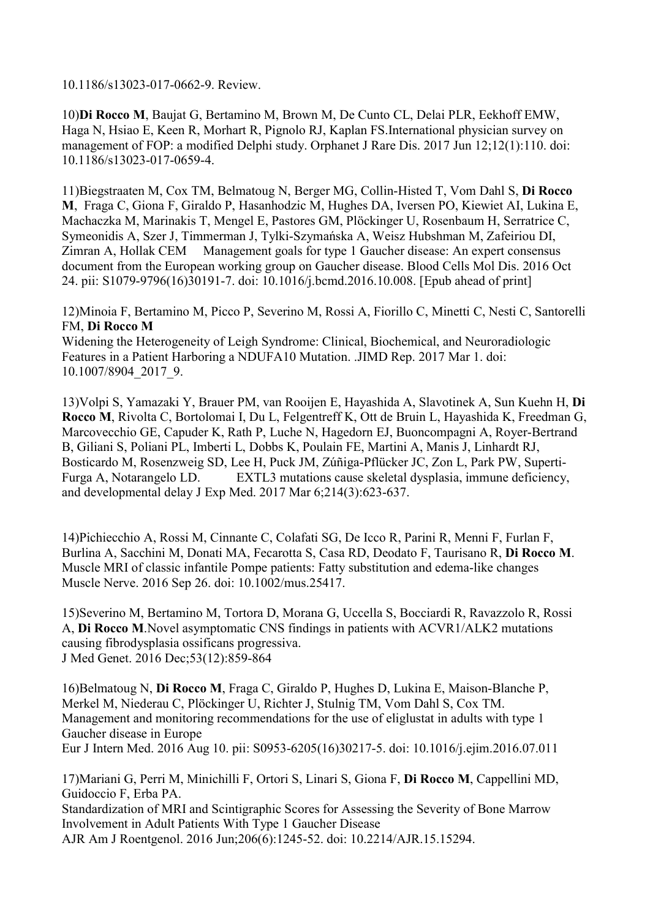10.1186/s13023-017-0662-9. Review.

10)Di Rocco M, Baujat G, Bertamino M, Brown M, De Cunto CL, Delai PLR, Eekhoff EMW, Haga N, Hsiao E, Keen R, Morhart R, Pignolo RJ, Kaplan FS.International physician survey on management of FOP: a modified Delphi study. Orphanet J Rare Dis. 2017 Jun 12;12(1):110. doi: 10.1186/s13023-017-0659-4.

11)Biegstraaten M, Cox TM, Belmatoug N, Berger MG, Collin-Histed T, Vom Dahl S, Di Rocco M, Fraga C, Giona F, Giraldo P, Hasanhodzic M, Hughes DA, Iversen PO, Kiewiet AI, Lukina E, Machaczka M, Marinakis T, Mengel E, Pastores GM, Plöckinger U, Rosenbaum H, Serratrice C, Symeonidis A, Szer J, Timmerman J, Tylki-Szymańska A, Weisz Hubshman M, Zafeiriou DI, Zimran A, Hollak CEM Management goals for type 1 Gaucher disease: An expert consensus document from the European working group on Gaucher disease. Blood Cells Mol Dis. 2016 Oct 24. pii: S1079-9796(16)30191-7. doi: 10.1016/j.bcmd.2016.10.008. [Epub ahead of print]

12)Minoia F, Bertamino M, Picco P, Severino M, Rossi A, Fiorillo C, Minetti C, Nesti C, Santorelli FM, Di Rocco M

Widening the Heterogeneity of Leigh Syndrome: Clinical, Biochemical, and Neuroradiologic Features in a Patient Harboring a NDUFA10 Mutation. .JIMD Rep. 2017 Mar 1. doi: 10.1007/8904\_2017\_9.

13)Volpi S, Yamazaki Y, Brauer PM, van Rooijen E, Hayashida A, Slavotinek A, Sun Kuehn H, Di Rocco M, Rivolta C, Bortolomai I, Du L, Felgentreff K, Ott de Bruin L, Hayashida K, Freedman G, Marcovecchio GE, Capuder K, Rath P, Luche N, Hagedorn EJ, Buoncompagni A, Royer-Bertrand B, Giliani S, Poliani PL, Imberti L, Dobbs K, Poulain FE, Martini A, Manis J, Linhardt RJ, Bosticardo M, Rosenzweig SD, Lee H, Puck JM, Zúñiga-Pflücker JC, Zon L, Park PW, Superti-Furga A, Notarangelo LD. EXTL3 mutations cause skeletal dysplasia, immune deficiency, and developmental delay J Exp Med. 2017 Mar 6;214(3):623-637.

14)Pichiecchio A, Rossi M, Cinnante C, Colafati SG, De Icco R, Parini R, Menni F, Furlan F, Burlina A, Sacchini M, Donati MA, Fecarotta S, Casa RD, Deodato F, Taurisano R, Di Rocco M. Muscle MRI of classic infantile Pompe patients: Fatty substitution and edema-like changes Muscle Nerve. 2016 Sep 26. doi: 10.1002/mus.25417.

15)Severino M, Bertamino M, Tortora D, Morana G, Uccella S, Bocciardi R, Ravazzolo R, Rossi A, Di Rocco M.Novel asymptomatic CNS findings in patients with ACVR1/ALK2 mutations causing fibrodysplasia ossificans progressiva. J Med Genet. 2016 Dec;53(12):859-864

16)Belmatoug N, Di Rocco M, Fraga C, Giraldo P, Hughes D, Lukina E, Maison-Blanche P, Merkel M, Niederau C, Plӧckinger U, Richter J, Stulnig TM, Vom Dahl S, Cox TM. Management and monitoring recommendations for the use of eliglustat in adults with type 1 Gaucher disease in Europe Eur J Intern Med. 2016 Aug 10. pii: S0953-6205(16)30217-5. doi: 10.1016/j.ejim.2016.07.011

17)Mariani G, Perri M, Minichilli F, Ortori S, Linari S, Giona F, Di Rocco M, Cappellini MD, Guidoccio F, Erba PA. Standardization of MRI and Scintigraphic Scores for Assessing the Severity of Bone Marrow Involvement in Adult Patients With Type 1 Gaucher Disease AJR Am J Roentgenol. 2016 Jun;206(6):1245-52. doi: 10.2214/AJR.15.15294.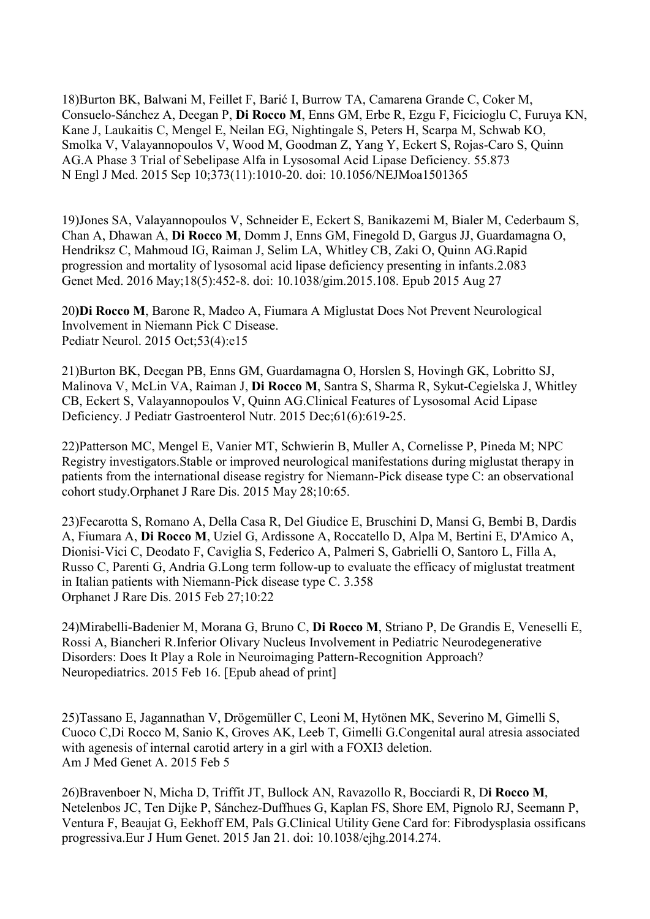18)Burton BK, Balwani M, Feillet F, Barić I, Burrow TA, Camarena Grande C, Coker M, Consuelo-Sánchez A, Deegan P, Di Rocco M, Enns GM, Erbe R, Ezgu F, Ficicioglu C, Furuya KN, Kane J, Laukaitis C, Mengel E, Neilan EG, Nightingale S, Peters H, Scarpa M, Schwab KO, Smolka V, Valayannopoulos V, Wood M, Goodman Z, Yang Y, Eckert S, Rojas-Caro S, Quinn AG.A Phase 3 Trial of Sebelipase Alfa in Lysosomal Acid Lipase Deficiency. 55.873 N Engl J Med. 2015 Sep 10;373(11):1010-20. doi: 10.1056/NEJMoa1501365

19)Jones SA, Valayannopoulos V, Schneider E, Eckert S, Banikazemi M, Bialer M, Cederbaum S, Chan A, Dhawan A, Di Rocco M, Domm J, Enns GM, Finegold D, Gargus JJ, Guardamagna O, Hendriksz C, Mahmoud IG, Raiman J, Selim LA, Whitley CB, Zaki O, Quinn AG.Rapid progression and mortality of lysosomal acid lipase deficiency presenting in infants.2.083 Genet Med. 2016 May;18(5):452-8. doi: 10.1038/gim.2015.108. Epub 2015 Aug 27

20)Di Rocco M, Barone R, Madeo A, Fiumara A Miglustat Does Not Prevent Neurological Involvement in Niemann Pick C Disease. Pediatr Neurol. 2015 Oct;53(4):e15

21)Burton BK, Deegan PB, Enns GM, Guardamagna O, Horslen S, Hovingh GK, Lobritto SJ, Malinova V, McLin VA, Raiman J, Di Rocco M, Santra S, Sharma R, Sykut-Cegielska J, Whitley CB, Eckert S, Valayannopoulos V, Quinn AG.Clinical Features of Lysosomal Acid Lipase Deficiency. J Pediatr Gastroenterol Nutr. 2015 Dec;61(6):619-25.

22)Patterson MC, Mengel E, Vanier MT, Schwierin B, Muller A, Cornelisse P, Pineda M; NPC Registry investigators.Stable or improved neurological manifestations during miglustat therapy in patients from the international disease registry for Niemann-Pick disease type C: an observational cohort study.Orphanet J Rare Dis. 2015 May 28;10:65.

23)Fecarotta S, Romano A, Della Casa R, Del Giudice E, Bruschini D, Mansi G, Bembi B, Dardis A, Fiumara A, Di Rocco M, Uziel G, Ardissone A, Roccatello D, Alpa M, Bertini E, D'Amico A, Dionisi-Vici C, Deodato F, Caviglia S, Federico A, Palmeri S, Gabrielli O, Santoro L, Filla A, Russo C, Parenti G, Andria G.Long term follow-up to evaluate the efficacy of miglustat treatment in Italian patients with Niemann-Pick disease type C. 3.358 Orphanet J Rare Dis. 2015 Feb 27;10:22

24)Mirabelli-Badenier M, Morana G, Bruno C, Di Rocco M, Striano P, De Grandis E, Veneselli E, Rossi A, Biancheri R.Inferior Olivary Nucleus Involvement in Pediatric Neurodegenerative Disorders: Does It Play a Role in Neuroimaging Pattern-Recognition Approach? Neuropediatrics. 2015 Feb 16. [Epub ahead of print]

25)Tassano E, Jagannathan V, Drögemüller C, Leoni M, Hytönen MK, Severino M, Gimelli S, Cuoco C,Di Rocco M, Sanio K, Groves AK, Leeb T, Gimelli G.Congenital aural atresia associated with agenesis of internal carotid artery in a girl with a FOXI3 deletion. Am J Med Genet A. 2015 Feb 5

26)Bravenboer N, Micha D, Triffit JT, Bullock AN, Ravazollo R, Bocciardi R, Di Rocco M, Netelenbos JC, Ten Dijke P, Sánchez-Duffhues G, Kaplan FS, Shore EM, Pignolo RJ, Seemann P, Ventura F, Beaujat G, Eekhoff EM, Pals G.Clinical Utility Gene Card for: Fibrodysplasia ossificans progressiva.Eur J Hum Genet. 2015 Jan 21. doi: 10.1038/ejhg.2014.274.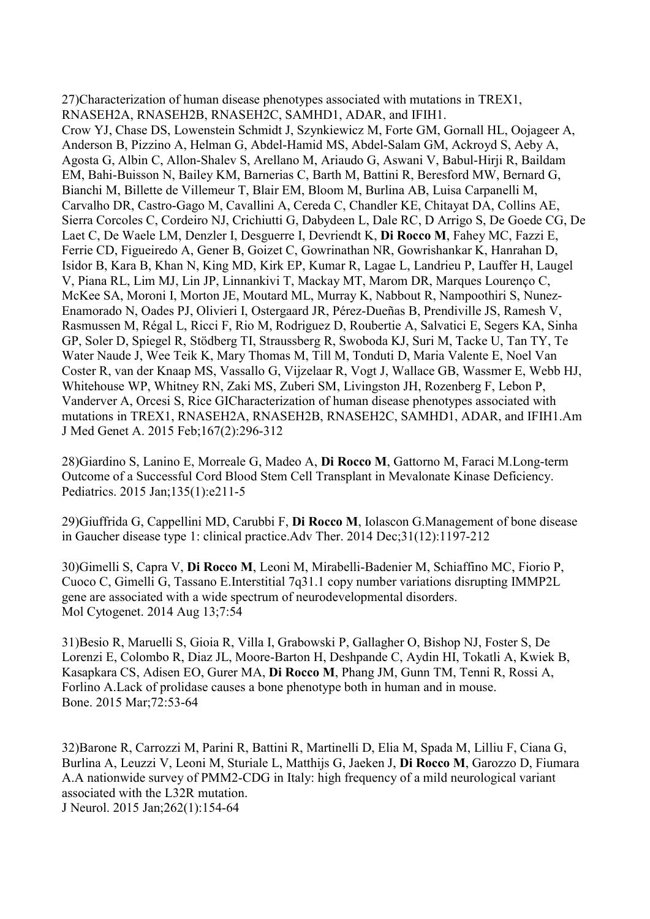27)Characterization of human disease phenotypes associated with mutations in TREX1, RNASEH2A, RNASEH2B, RNASEH2C, SAMHD1, ADAR, and IFIH1. Crow YJ, Chase DS, Lowenstein Schmidt J, Szynkiewicz M, Forte GM, Gornall HL, Oojageer A, Anderson B, Pizzino A, Helman G, Abdel-Hamid MS, Abdel-Salam GM, Ackroyd S, Aeby A, Agosta G, Albin C, Allon-Shalev S, Arellano M, Ariaudo G, Aswani V, Babul-Hirji R, Baildam EM, Bahi-Buisson N, Bailey KM, Barnerias C, Barth M, Battini R, Beresford MW, Bernard G, Bianchi M, Billette de Villemeur T, Blair EM, Bloom M, Burlina AB, Luisa Carpanelli M, Carvalho DR, Castro-Gago M, Cavallini A, Cereda C, Chandler KE, Chitayat DA, Collins AE, Sierra Corcoles C, Cordeiro NJ, Crichiutti G, Dabydeen L, Dale RC, D Arrigo S, De Goede CG, De Laet C, De Waele LM, Denzler I, Desguerre I, Devriendt K, Di Rocco M, Fahey MC, Fazzi E, Ferrie CD, Figueiredo A, Gener B, Goizet C, Gowrinathan NR, Gowrishankar K, Hanrahan D, Isidor B, Kara B, Khan N, King MD, Kirk EP, Kumar R, Lagae L, Landrieu P, Lauffer H, Laugel V, Piana RL, Lim MJ, Lin JP, Linnankivi T, Mackay MT, Marom DR, Marques Lourenço C, McKee SA, Moroni I, Morton JE, Moutard ML, Murray K, Nabbout R, Nampoothiri S, Nunez-Enamorado N, Oades PJ, Olivieri I, Ostergaard JR, Pérez-Dueñas B, Prendiville JS, Ramesh V, Rasmussen M, Régal L, Ricci F, Rio M, Rodriguez D, Roubertie A, Salvatici E, Segers KA, Sinha GP, Soler D, Spiegel R, Stödberg TI, Straussberg R, Swoboda KJ, Suri M, Tacke U, Tan TY, Te Water Naude J, Wee Teik K, Mary Thomas M, Till M, Tonduti D, Maria Valente E, Noel Van Coster R, van der Knaap MS, Vassallo G, Vijzelaar R, Vogt J, Wallace GB, Wassmer E, Webb HJ, Whitehouse WP, Whitney RN, Zaki MS, Zuberi SM, Livingston JH, Rozenberg F, Lebon P, Vanderver A, Orcesi S, Rice GICharacterization of human disease phenotypes associated with mutations in TREX1, RNASEH2A, RNASEH2B, RNASEH2C, SAMHD1, ADAR, and IFIH1.Am J Med Genet A. 2015 Feb;167(2):296-312

28)Giardino S, Lanino E, Morreale G, Madeo A, Di Rocco M, Gattorno M, Faraci M.Long-term Outcome of a Successful Cord Blood Stem Cell Transplant in Mevalonate Kinase Deficiency. Pediatrics. 2015 Jan;135(1):e211-5

29)Giuffrida G, Cappellini MD, Carubbi F, Di Rocco M, Iolascon G.Management of bone disease in Gaucher disease type 1: clinical practice.Adv Ther. 2014 Dec;31(12):1197-212

30)Gimelli S, Capra V, Di Rocco M, Leoni M, Mirabelli-Badenier M, Schiaffino MC, Fiorio P, Cuoco C, Gimelli G, Tassano E.Interstitial 7q31.1 copy number variations disrupting IMMP2L gene are associated with a wide spectrum of neurodevelopmental disorders. Mol Cytogenet. 2014 Aug 13;7:54

31)Besio R, Maruelli S, Gioia R, Villa I, Grabowski P, Gallagher O, Bishop NJ, Foster S, De Lorenzi E, Colombo R, Diaz JL, Moore-Barton H, Deshpande C, Aydin HI, Tokatli A, Kwiek B, Kasapkara CS, Adisen EO, Gurer MA, Di Rocco M, Phang JM, Gunn TM, Tenni R, Rossi A, Forlino A.Lack of prolidase causes a bone phenotype both in human and in mouse. Bone. 2015 Mar;72:53-64

32)Barone R, Carrozzi M, Parini R, Battini R, Martinelli D, Elia M, Spada M, Lilliu F, Ciana G, Burlina A, Leuzzi V, Leoni M, Sturiale L, Matthijs G, Jaeken J, Di Rocco M, Garozzo D, Fiumara A.A nationwide survey of PMM2-CDG in Italy: high frequency of a mild neurological variant associated with the L32R mutation.

J Neurol. 2015 Jan;262(1):154-64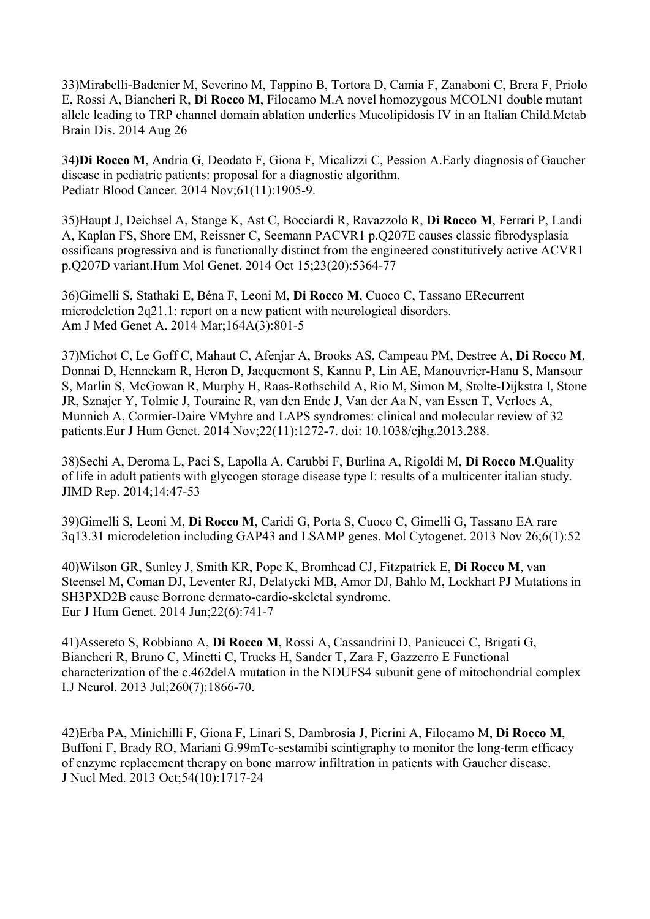33)Mirabelli-Badenier M, Severino M, Tappino B, Tortora D, Camia F, Zanaboni C, Brera F, Priolo E, Rossi A, Biancheri R, Di Rocco M, Filocamo M.A novel homozygous MCOLN1 double mutant allele leading to TRP channel domain ablation underlies Mucolipidosis IV in an Italian Child.Metab Brain Dis. 2014 Aug 26

34)Di Rocco M, Andria G, Deodato F, Giona F, Micalizzi C, Pession A.Early diagnosis of Gaucher disease in pediatric patients: proposal for a diagnostic algorithm. Pediatr Blood Cancer. 2014 Nov;61(11):1905-9.

35)Haupt J, Deichsel A, Stange K, Ast C, Bocciardi R, Ravazzolo R, Di Rocco M, Ferrari P, Landi A, Kaplan FS, Shore EM, Reissner C, Seemann PACVR1 p.Q207E causes classic fibrodysplasia ossificans progressiva and is functionally distinct from the engineered constitutively active ACVR1 p.Q207D variant.Hum Mol Genet. 2014 Oct 15;23(20):5364-77

36)Gimelli S, Stathaki E, Béna F, Leoni M, Di Rocco M, Cuoco C, Tassano ERecurrent microdeletion 2q21.1: report on a new patient with neurological disorders. Am J Med Genet A. 2014 Mar;164A(3):801-5

37)Michot C, Le Goff C, Mahaut C, Afenjar A, Brooks AS, Campeau PM, Destree A, Di Rocco M, Donnai D, Hennekam R, Heron D, Jacquemont S, Kannu P, Lin AE, Manouvrier-Hanu S, Mansour S, Marlin S, McGowan R, Murphy H, Raas-Rothschild A, Rio M, Simon M, Stolte-Dijkstra I, Stone JR, Sznajer Y, Tolmie J, Touraine R, van den Ende J, Van der Aa N, van Essen T, Verloes A, Munnich A, Cormier-Daire VMyhre and LAPS syndromes: clinical and molecular review of 32 patients.Eur J Hum Genet. 2014 Nov;22(11):1272-7. doi: 10.1038/ejhg.2013.288.

38)Sechi A, Deroma L, Paci S, Lapolla A, Carubbi F, Burlina A, Rigoldi M, Di Rocco M.Quality of life in adult patients with glycogen storage disease type I: results of a multicenter italian study. JIMD Rep. 2014;14:47-53

39)Gimelli S, Leoni M, Di Rocco M, Caridi G, Porta S, Cuoco C, Gimelli G, Tassano EA rare 3q13.31 microdeletion including GAP43 and LSAMP genes. Mol Cytogenet. 2013 Nov 26;6(1):52

40)Wilson GR, Sunley J, Smith KR, Pope K, Bromhead CJ, Fitzpatrick E, Di Rocco M, van Steensel M, Coman DJ, Leventer RJ, Delatycki MB, Amor DJ, Bahlo M, Lockhart PJ Mutations in SH3PXD2B cause Borrone dermato-cardio-skeletal syndrome. Eur J Hum Genet. 2014 Jun;22(6):741-7

41)Assereto S, Robbiano A, Di Rocco M, Rossi A, Cassandrini D, Panicucci C, Brigati G, Biancheri R, Bruno C, Minetti C, Trucks H, Sander T, Zara F, Gazzerro E Functional characterization of the c.462delA mutation in the NDUFS4 subunit gene of mitochondrial complex I.J Neurol. 2013 Jul;260(7):1866-70.

42)Erba PA, Minichilli F, Giona F, Linari S, Dambrosia J, Pierini A, Filocamo M, Di Rocco M, Buffoni F, Brady RO, Mariani G.99mTc-sestamibi scintigraphy to monitor the long-term efficacy of enzyme replacement therapy on bone marrow infiltration in patients with Gaucher disease. J Nucl Med. 2013 Oct;54(10):1717-24